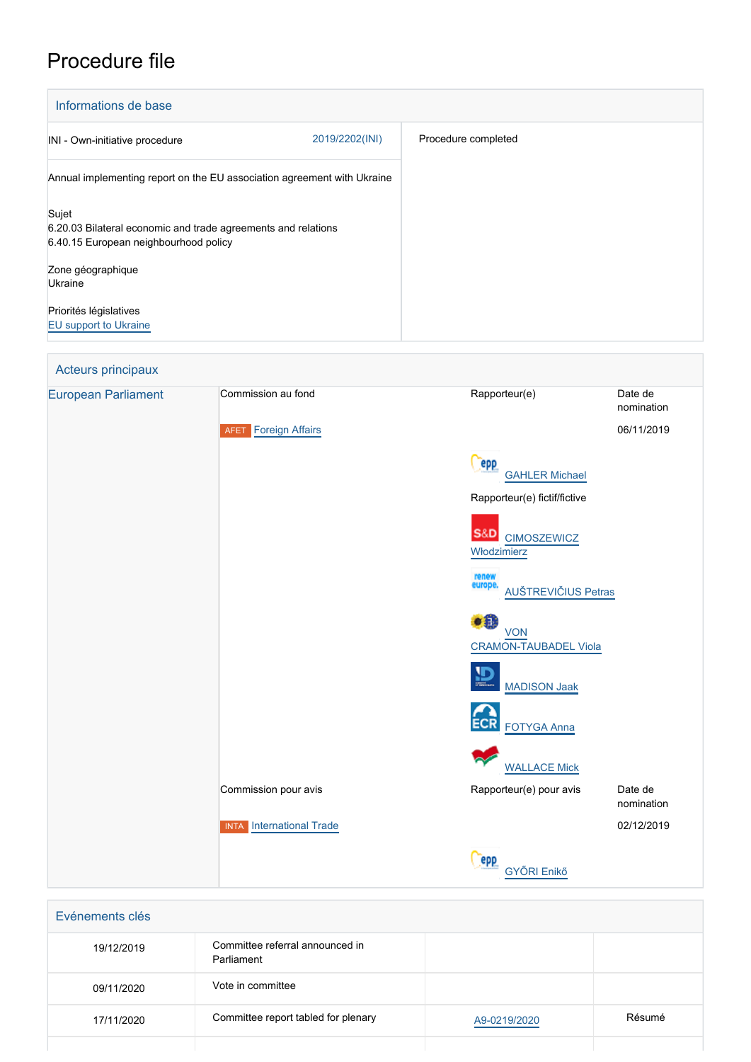# Procedure file

| Informations de base                                                                                            |                |                     |
|-----------------------------------------------------------------------------------------------------------------|----------------|---------------------|
| INI - Own-initiative procedure                                                                                  | 2019/2202(INI) | Procedure completed |
| Annual implementing report on the EU association agreement with Ukraine                                         |                |                     |
| Sujet<br>6.20.03 Bilateral economic and trade agreements and relations<br>6.40.15 European neighbourhood policy |                |                     |
| Zone géographique<br>Ukraine                                                                                    |                |                     |
| Priorités législatives<br><b>EU</b> support to Ukraine                                                          |                |                     |

## Acteurs principaux [European Parliament](http://www.europarl.europa.eu/) Commission au fond Rapporteur(e) Date de nomination **AFET** [Foreign Affairs](http://www.europarl.europa.eu/committees/en/afet/home.html) 06/11/2019 epp [GAHLER Michael](http://www.europarl.europa.eu/meps/en/2341) Rapporteur(e) fictif/fictive S&D [CIMOSZEWICZ](http://www.europarl.europa.eu/meps/en/197507) [Włodzimierz](http://www.europarl.europa.eu/meps/en/197507) [AUŠTREVIČIUS Petras](http://www.europarl.europa.eu/meps/en/124766)  $\bullet$  in [VON](http://www.europarl.europa.eu/meps/en/197451) [CRAMON-TAUBADEL Viola](http://www.europarl.europa.eu/meps/en/197451)  $\overline{D}$  [MADISON Jaak](http://www.europarl.europa.eu/meps/en/197493) [FOTYGA Anna](http://www.europarl.europa.eu/meps/en/28353) [WALLACE Mick](http://www.europarl.europa.eu/meps/en/197817) Commission pour avis **Commission pour avis** Rapporteur(e) pour avis Date de nomination INTA [International Trade](http://www.europarl.europa.eu/committees/en/inta/home.html) 02/12/2019 **Cepp** [GYŐRI Enikő](http://www.europarl.europa.eu/meps/en/96830)

| Evénements clés |                                               |              |        |
|-----------------|-----------------------------------------------|--------------|--------|
| 19/12/2019      | Committee referral announced in<br>Parliament |              |        |
| 09/11/2020      | Vote in committee                             |              |        |
| 17/11/2020      | Committee report tabled for plenary           | A9-0219/2020 | Résumé |
|                 |                                               |              |        |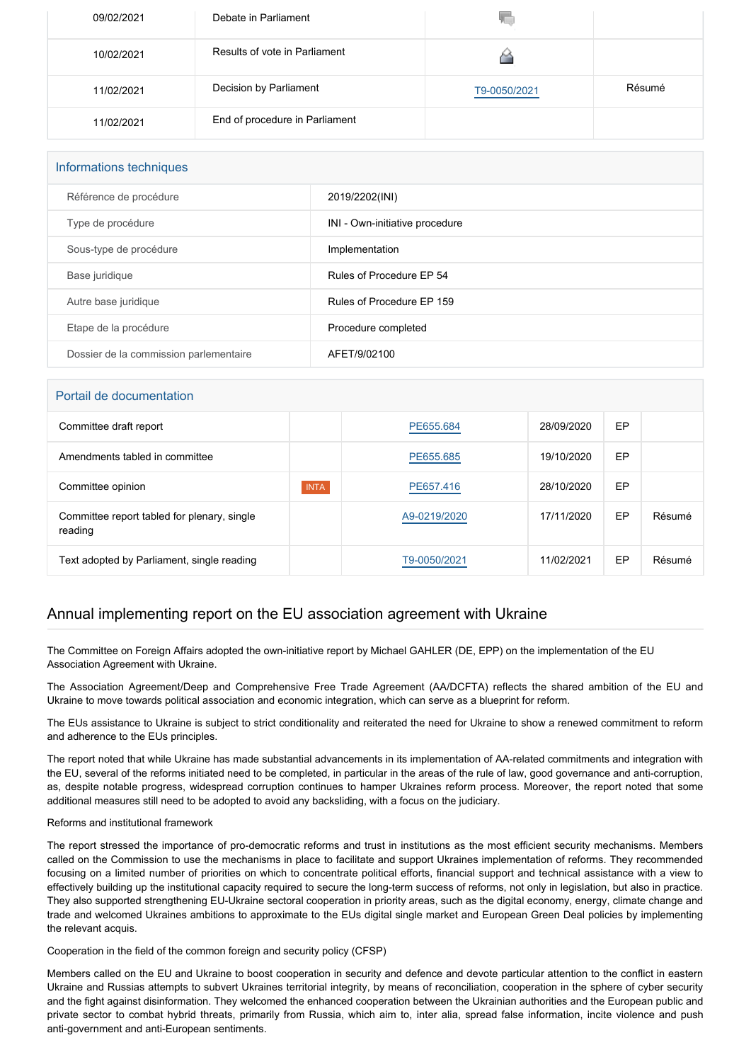| 09/02/2021 | Debate in Parliament           | w            |        |
|------------|--------------------------------|--------------|--------|
| 10/02/2021 | Results of vote in Parliament  |              |        |
| 11/02/2021 | Decision by Parliament         | T9-0050/2021 | Résumé |
| 11/02/2021 | End of procedure in Parliament |              |        |

| Informations techniques                |                                |  |  |
|----------------------------------------|--------------------------------|--|--|
| Référence de procédure                 | 2019/2202(INI)                 |  |  |
| Type de procédure                      | INI - Own-initiative procedure |  |  |
| Sous-type de procédure                 | Implementation                 |  |  |
| Base juridique                         | Rules of Procedure EP 54       |  |  |
| Autre base juridique                   | Rules of Procedure EP 159      |  |  |
| Etape de la procédure                  | Procedure completed            |  |  |
| Dossier de la commission parlementaire | AFET/9/02100                   |  |  |

### Portail de documentation

| , oraș au audinul autor                                |             |              |            |    |        |
|--------------------------------------------------------|-------------|--------------|------------|----|--------|
| Committee draft report                                 |             | PE655.684    | 28/09/2020 | EP |        |
| Amendments tabled in committee                         |             | PE655.685    | 19/10/2020 | EP |        |
| Committee opinion                                      | <b>INTA</b> | PE657.416    | 28/10/2020 | EP |        |
| Committee report tabled for plenary, single<br>reading |             | A9-0219/2020 | 17/11/2020 | EP | Résumé |
| Text adopted by Parliament, single reading             |             | T9-0050/2021 | 11/02/2021 | EP | Résumé |

### Annual implementing report on the EU association agreement with Ukraine

The Committee on Foreign Affairs adopted the own-initiative report by Michael GAHLER (DE, EPP) on the implementation of the EU Association Agreement with Ukraine.

The Association Agreement/Deep and Comprehensive Free Trade Agreement (AA/DCFTA) reflects the shared ambition of the EU and Ukraine to move towards political association and economic integration, which can serve as a blueprint for reform.

The EUs assistance to Ukraine is subject to strict conditionality and reiterated the need for Ukraine to show a renewed commitment to reform and adherence to the EUs principles.

The report noted that while Ukraine has made substantial advancements in its implementation of AA-related commitments and integration with the EU, several of the reforms initiated need to be completed, in particular in the areas of the rule of law, good governance and anti-corruption, as, despite notable progress, widespread corruption continues to hamper Ukraines reform process. Moreover, the report noted that some additional measures still need to be adopted to avoid any backsliding, with a focus on the judiciary.

### Reforms and institutional framework

The report stressed the importance of pro-democratic reforms and trust in institutions as the most efficient security mechanisms. Members called on the Commission to use the mechanisms in place to facilitate and support Ukraines implementation of reforms. They recommended focusing on a limited number of priorities on which to concentrate political efforts, financial support and technical assistance with a view to effectively building up the institutional capacity required to secure the long-term success of reforms, not only in legislation, but also in practice. They also supported strengthening EU-Ukraine sectoral cooperation in priority areas, such as the digital economy, energy, climate change and trade and welcomed Ukraines ambitions to approximate to the EUs digital single market and European Green Deal policies by implementing the relevant acquis.

Cooperation in the field of the common foreign and security policy (CFSP)

Members called on the EU and Ukraine to boost cooperation in security and defence and devote particular attention to the conflict in eastern Ukraine and Russias attempts to subvert Ukraines territorial integrity, by means of reconciliation, cooperation in the sphere of cyber security and the fight against disinformation. They welcomed the enhanced cooperation between the Ukrainian authorities and the European public and private sector to combat hybrid threats, primarily from Russia, which aim to, inter alia, spread false information, incite violence and push anti-government and anti-European sentiments.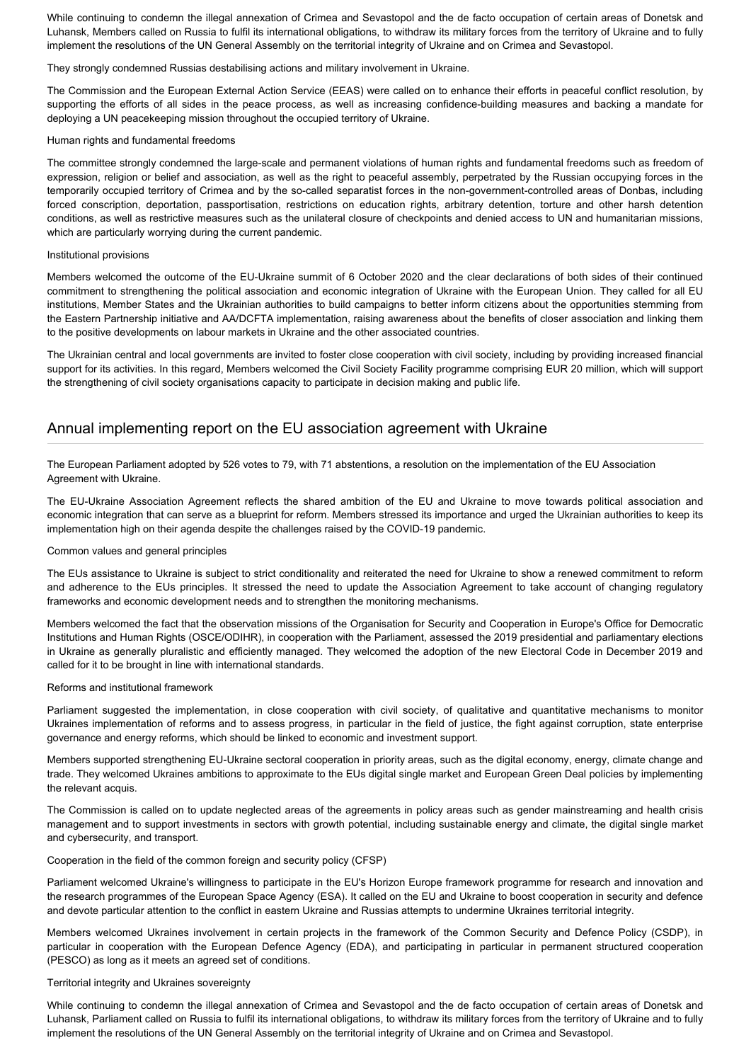While continuing to condemn the illegal annexation of Crimea and Sevastopol and the de facto occupation of certain areas of Donetsk and Luhansk, Members called on Russia to fulfil its international obligations, to withdraw its military forces from the territory of Ukraine and to fully implement the resolutions of the UN General Assembly on the territorial integrity of Ukraine and on Crimea and Sevastopol.

They strongly condemned Russias destabilising actions and military involvement in Ukraine.

The Commission and the European External Action Service (EEAS) were called on to enhance their efforts in peaceful conflict resolution, by supporting the efforts of all sides in the peace process, as well as increasing confidence-building measures and backing a mandate for deploying a UN peacekeeping mission throughout the occupied territory of Ukraine.

### Human rights and fundamental freedoms

The committee strongly condemned the large-scale and permanent violations of human rights and fundamental freedoms such as freedom of expression, religion or belief and association, as well as the right to peaceful assembly, perpetrated by the Russian occupying forces in the temporarily occupied territory of Crimea and by the so-called separatist forces in the non-government-controlled areas of Donbas, including forced conscription, deportation, passportisation, restrictions on education rights, arbitrary detention, torture and other harsh detention conditions, as well as restrictive measures such as the unilateral closure of checkpoints and denied access to UN and humanitarian missions, which are particularly worrying during the current pandemic.

### Institutional provisions

Members welcomed the outcome of the EU-Ukraine summit of 6 October 2020 and the clear declarations of both sides of their continued commitment to strengthening the political association and economic integration of Ukraine with the European Union. They called for all EU institutions, Member States and the Ukrainian authorities to build campaigns to better inform citizens about the opportunities stemming from the Eastern Partnership initiative and AA/DCFTA implementation, raising awareness about the benefits of closer association and linking them to the positive developments on labour markets in Ukraine and the other associated countries.

The Ukrainian central and local governments are invited to foster close cooperation with civil society, including by providing increased financial support for its activities. In this regard, Members welcomed the Civil Society Facility programme comprising EUR 20 million, which will support the strengthening of civil society organisations capacity to participate in decision making and public life.

## Annual implementing report on the EU association agreement with Ukraine

The European Parliament adopted by 526 votes to 79, with 71 abstentions, a resolution on the implementation of the EU Association Agreement with Ukraine.

The EU-Ukraine Association Agreement reflects the shared ambition of the EU and Ukraine to move towards political association and economic integration that can serve as a blueprint for reform. Members stressed its importance and urged the Ukrainian authorities to keep its implementation high on their agenda despite the challenges raised by the COVID-19 pandemic.

### Common values and general principles

The EUs assistance to Ukraine is subject to strict conditionality and reiterated the need for Ukraine to show a renewed commitment to reform and adherence to the EUs principles. It stressed the need to update the Association Agreement to take account of changing regulatory frameworks and economic development needs and to strengthen the monitoring mechanisms.

Members welcomed the fact that the observation missions of the Organisation for Security and Cooperation in Europe's Office for Democratic Institutions and Human Rights (OSCE/ODIHR), in cooperation with the Parliament, assessed the 2019 presidential and parliamentary elections in Ukraine as generally pluralistic and efficiently managed. They welcomed the adoption of the new Electoral Code in December 2019 and called for it to be brought in line with international standards.

### Reforms and institutional framework

Parliament suggested the implementation, in close cooperation with civil society, of qualitative and quantitative mechanisms to monitor Ukraines implementation of reforms and to assess progress, in particular in the field of justice, the fight against corruption, state enterprise governance and energy reforms, which should be linked to economic and investment support.

Members supported strengthening EU-Ukraine sectoral cooperation in priority areas, such as the digital economy, energy, climate change and trade. They welcomed Ukraines ambitions to approximate to the EUs digital single market and European Green Deal policies by implementing the relevant acquis.

The Commission is called on to update neglected areas of the agreements in policy areas such as gender mainstreaming and health crisis management and to support investments in sectors with growth potential, including sustainable energy and climate, the digital single market and cybersecurity, and transport.

### Cooperation in the field of the common foreign and security policy (CFSP)

Parliament welcomed Ukraine's willingness to participate in the EU's Horizon Europe framework programme for research and innovation and the research programmes of the European Space Agency (ESA). It called on the EU and Ukraine to boost cooperation in security and defence and devote particular attention to the conflict in eastern Ukraine and Russias attempts to undermine Ukraines territorial integrity.

Members welcomed Ukraines involvement in certain projects in the framework of the Common Security and Defence Policy (CSDP), in particular in cooperation with the European Defence Agency (EDA), and participating in particular in permanent structured cooperation (PESCO) as long as it meets an agreed set of conditions.

### Territorial integrity and Ukraines sovereignty

While continuing to condemn the illegal annexation of Crimea and Sevastopol and the de facto occupation of certain areas of Donetsk and Luhansk, Parliament called on Russia to fulfil its international obligations, to withdraw its military forces from the territory of Ukraine and to fully implement the resolutions of the UN General Assembly on the territorial integrity of Ukraine and on Crimea and Sevastopol.